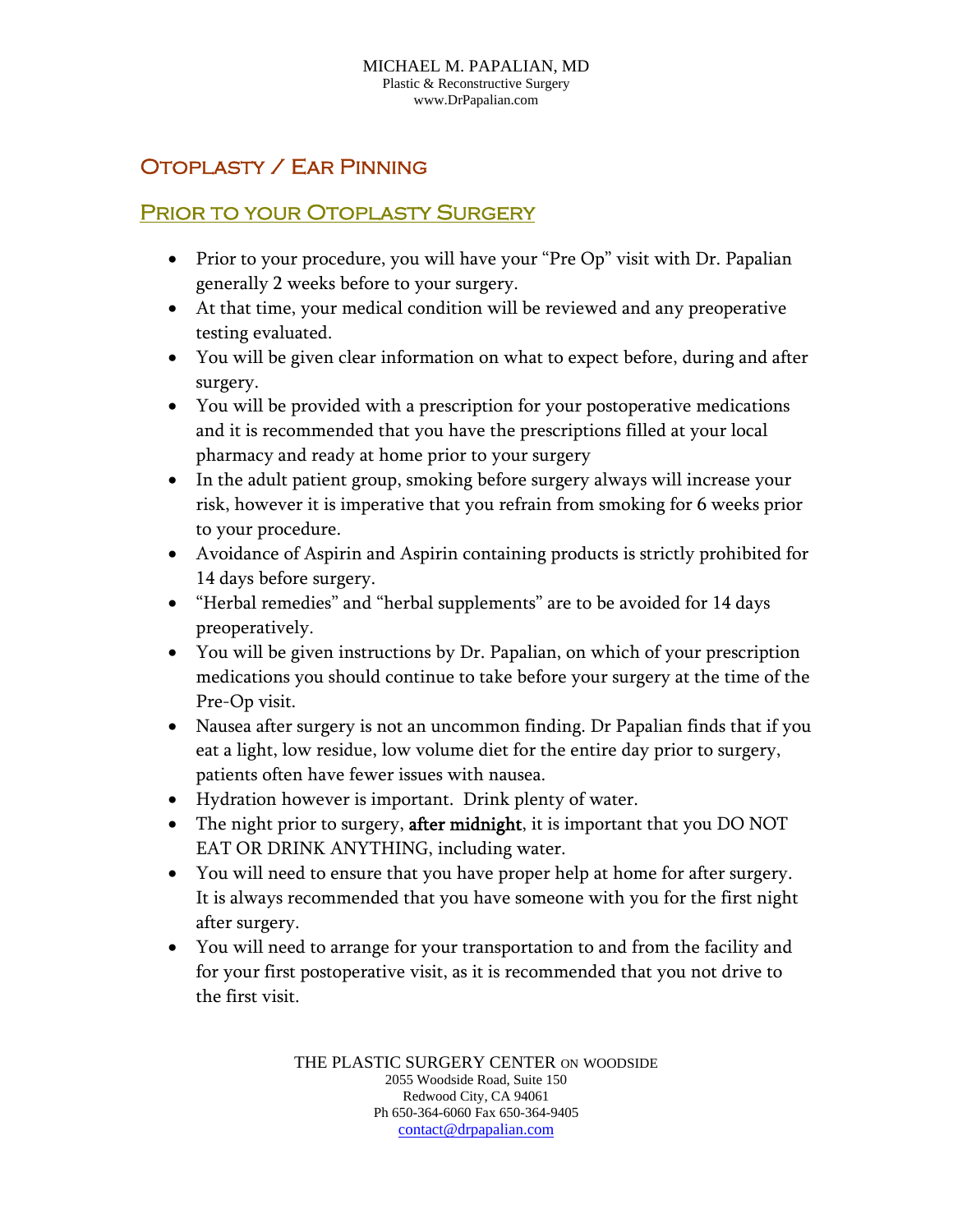## Otoplasty / Ear Pinning

## PRIOR TO YOUR OTOPLASTY SURGERY

- Prior to your procedure, you will have your "Pre Op" visit with Dr. Papalian generally 2 weeks before to your surgery.
- At that time, your medical condition will be reviewed and any preoperative testing evaluated.
- You will be given clear information on what to expect before, during and after surgery.
- You will be provided with a prescription for your postoperative medications and it is recommended that you have the prescriptions filled at your local pharmacy and ready at home prior to your surgery
- In the adult patient group, smoking before surgery always will increase your risk, however it is imperative that you refrain from smoking for 6 weeks prior to your procedure.
- Avoidance of Aspirin and Aspirin containing products is strictly prohibited for 14 days before surgery.
- "Herbal remedies" and "herbal supplements" are to be avoided for 14 days preoperatively.
- You will be given instructions by Dr. Papalian, on which of your prescription medications you should continue to take before your surgery at the time of the Pre-Op visit.
- Nausea after surgery is not an uncommon finding. Dr Papalian finds that if you eat a light, low residue, low volume diet for the entire day prior to surgery, patients often have fewer issues with nausea.
- Hydration however is important. Drink plenty of water.
- The night prior to surgery, after midnight, it is important that you DO NOT EAT OR DRINK ANYTHING, including water.
- You will need to ensure that you have proper help at home for after surgery. It is always recommended that you have someone with you for the first night after surgery.
- You will need to arrange for your transportation to and from the facility and for your first postoperative visit, as it is recommended that you not drive to the first visit.

THE PLASTIC SURGERY CENTER ON WOODSIDE 2055 Woodside Road, Suite 150 Redwood City, CA 94061 Ph 650-364-6060 Fax 650-364-9405 contact@drpapalian.com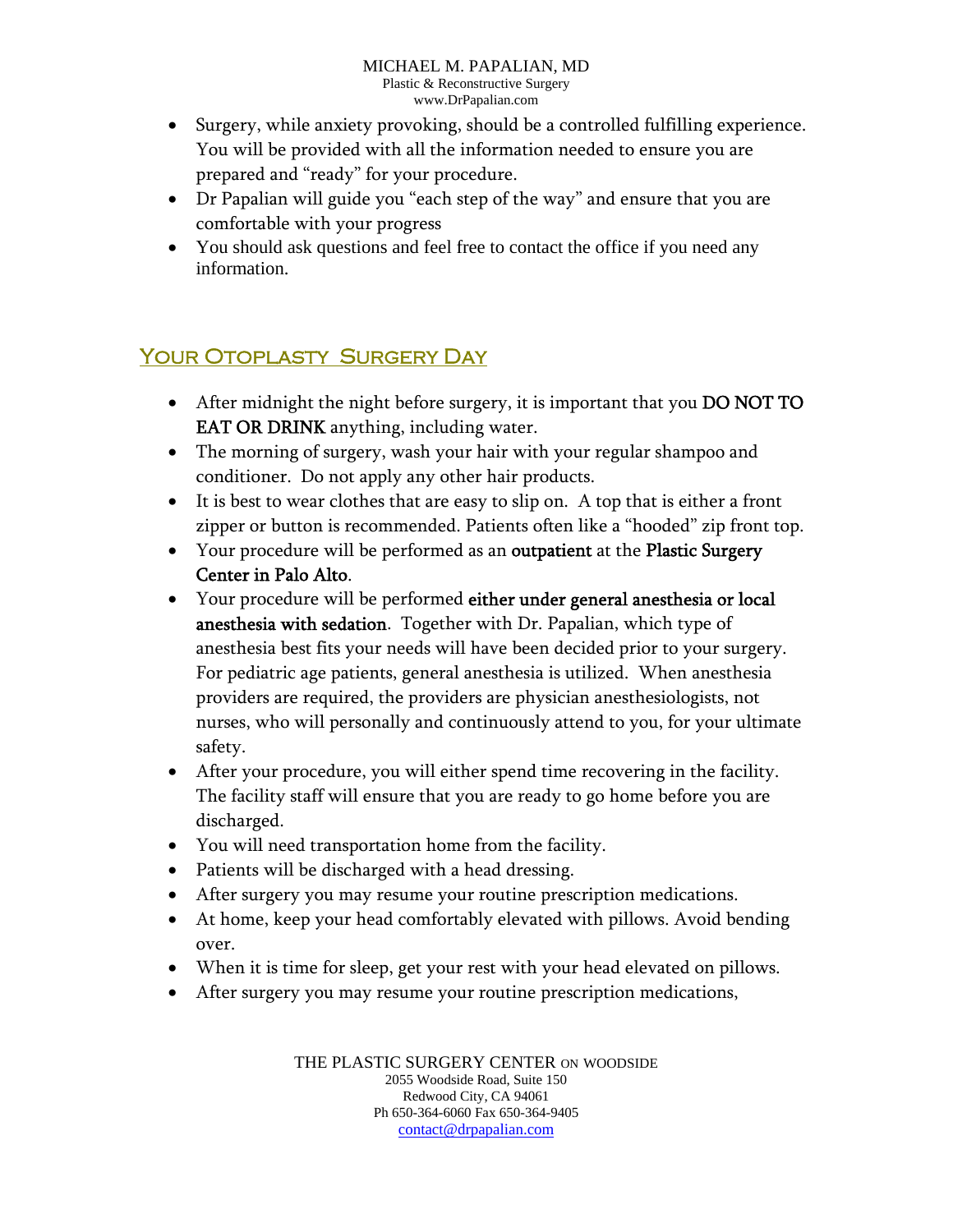- Surgery, while anxiety provoking, should be a controlled fulfilling experience. You will be provided with all the information needed to ensure you are prepared and "ready" for your procedure.
- Dr Papalian will guide you "each step of the way" and ensure that you are comfortable with your progress
- You should ask questions and feel free to contact the office if you need any information.

## YOUR OTOPLASTY SURGERY DAY

- After midnight the night before surgery, it is important that you DO NOT TO EAT OR DRINK anything, including water.
- The morning of surgery, wash your hair with your regular shampoo and conditioner. Do not apply any other hair products.
- It is best to wear clothes that are easy to slip on. A top that is either a front zipper or button is recommended. Patients often like a "hooded" zip front top.
- Your procedure will be performed as an outpatient at the Plastic Surgery Center in Palo Alto.
- Your procedure will be performed either under general anesthesia or local anesthesia with sedation. Together with Dr. Papalian, which type of anesthesia best fits your needs will have been decided prior to your surgery. For pediatric age patients, general anesthesia is utilized. When anesthesia providers are required, the providers are physician anesthesiologists, not nurses, who will personally and continuously attend to you, for your ultimate safety.
- After your procedure, you will either spend time recovering in the facility. The facility staff will ensure that you are ready to go home before you are discharged.
- You will need transportation home from the facility.
- Patients will be discharged with a head dressing.
- After surgery you may resume your routine prescription medications.
- At home, keep your head comfortably elevated with pillows. Avoid bending over.
- When it is time for sleep, get your rest with your head elevated on pillows.
- After surgery you may resume your routine prescription medications,

THE PLASTIC SURGERY CENTER ON WOODSIDE 2055 Woodside Road, Suite 150 Redwood City, CA 94061 Ph 650-364-6060 Fax 650-364-9405 contact@drpapalian.com